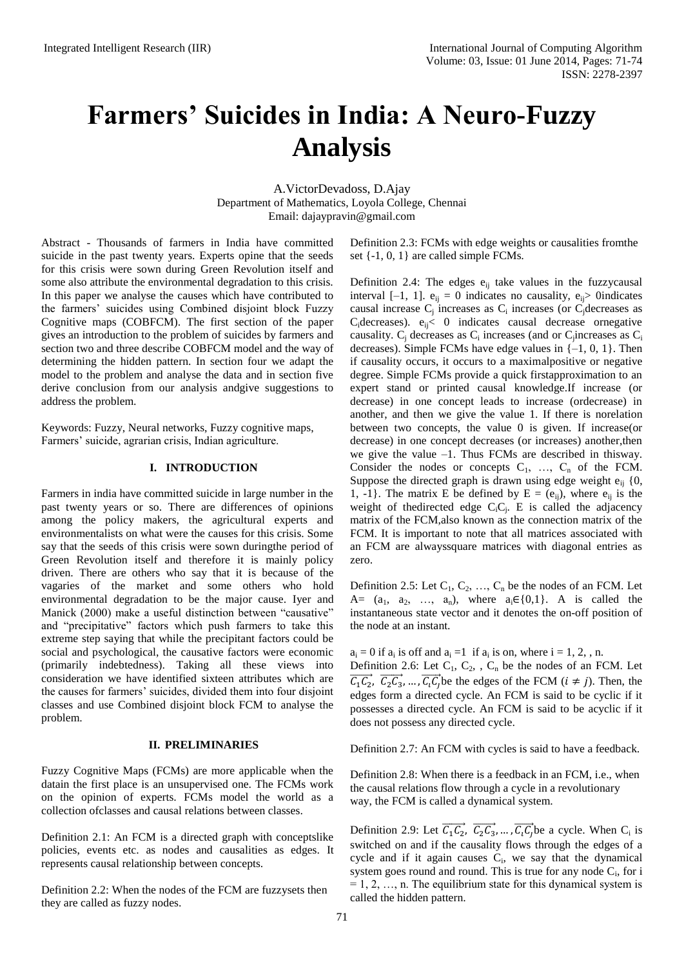# **Farmers' Suicides in India: A Neuro-Fuzzy Analysis**

A.VictorDevadoss, D.Ajay Department of Mathematics, Loyola College, Chennai Email: [dajaypravin@gmail.com](mailto:dajaypravin@gmail.com)

Abstract - Thousands of farmers in India have committed suicide in the past twenty years. Experts opine that the seeds for this crisis were sown during Green Revolution itself and some also attribute the environmental degradation to this crisis. In this paper we analyse the causes which have contributed to the farmers' suicides using Combined disjoint block Fuzzy Cognitive maps (COBFCM). The first section of the paper gives an introduction to the problem of suicides by farmers and section two and three describe COBFCM model and the way of determining the hidden pattern. In section four we adapt the model to the problem and analyse the data and in section five derive conclusion from our analysis andgive suggestions to address the problem.

Keywords: Fuzzy, Neural networks, Fuzzy cognitive maps, Farmers' suicide, agrarian crisis, Indian agriculture.

#### **I. INTRODUCTION**

Farmers in india have committed suicide in large number in the past twenty years or so. There are differences of opinions among the policy makers, the agricultural experts and environmentalists on what were the causes for this crisis. Some say that the seeds of this crisis were sown duringthe period of Green Revolution itself and therefore it is mainly policy driven. There are others who say that it is because of the vagaries of the market and some others who hold environmental degradation to be the major cause. Iyer and Manick (2000) make a useful distinction between "causative" and "precipitative" factors which push farmers to take this extreme step saying that while the precipitant factors could be social and psychological, the causative factors were economic (primarily indebtedness). Taking all these views into consideration we have identified sixteen attributes which are the causes for farmers' suicides, divided them into four disjoint classes and use Combined disjoint block FCM to analyse the problem.

#### **II. PRELIMINARIES**

Fuzzy Cognitive Maps (FCMs) are more applicable when the datain the first place is an unsupervised one. The FCMs work on the opinion of experts. FCMs model the world as a collection ofclasses and causal relations between classes.

Definition 2.1: An FCM is a directed graph with conceptslike policies, events etc. as nodes and causalities as edges. It represents causal relationship between concepts.

Definition 2.2: When the nodes of the FCM are fuzzysets then they are called as fuzzy nodes.

Definition 2.3: FCMs with edge weights or causalities fromthe set {-1, 0, 1} are called simple FCMs*.*

Definition 2.4: The edges  $e_{ij}$  take values in the fuzzycausal interval [-1, 1].  $e_{ii} = 0$  indicates no causality,  $e_{ii} > 0$  indicates causal increase  $C_j$  increases as  $C_i$  increases (or  $C_j$  decreases as  $C_i$ decreases).  $e_{ii}$ < 0 indicates causal decrease ornegative causality.  $C_j$  decreases as  $C_i$  increases (and or  $C_j$  increases as  $C_i$ decreases). Simple FCMs have edge values in  $\{-1, 0, 1\}$ . Then if causality occurs, it occurs to a maximalpositive or negative degree. Simple FCMs provide a quick firstapproximation to an expert stand or printed causal knowledge.If increase (or decrease) in one concept leads to increase (ordecrease) in another, and then we give the value 1. If there is norelation between two concepts, the value 0 is given. If increase(or decrease) in one concept decreases (or increases) another,then we give the value  $-1$ . Thus FCMs are described in thisway. Consider the nodes or concepts  $C_1$ , ...,  $C_n$  of the FCM. Suppose the directed graph is drawn using edge weight  $e_{ij}$  {0, 1, -1}. The matrix E be defined by  $E = (e_{ij})$ , where  $e_{ij}$  is the weight of thedirected edge  $C_iC_j$ . E is called the adjacency matrix of the FCM,also known as the connection matrix of the FCM. It is important to note that all matrices associated with an FCM are alwayssquare matrices with diagonal entries as zero.

Definition 2.5: Let  $C_1, C_2, ..., C_n$  be the nodes of an FCM. Let A=  $(a_1, a_2, ..., a_n)$ , where  $a_i \in \{0,1\}$ . A is called the instantaneous state vector and it denotes the on-off position of the node at an instant.

 $a_i = 0$  if  $a_i$  is off and  $a_i = 1$  if  $a_i$  is on, where  $i = 1, 2, n$ . Definition 2.6: Let  $C_1$ ,  $C_2$ ,  $C_n$  be the nodes of an FCM. Let  $\overrightarrow{C_1 C_2}$ ,  $\overrightarrow{C_2 C_3}$ , ...,  $\overrightarrow{C_i C_i}$  be the edges of the FCM  $(i \neq j)$ . Then, the edges form a directed cycle. An FCM is said to be cyclic if it possesses a directed cycle. An FCM is said to be acyclic if it does not possess any directed cycle.

Definition 2.7: An FCM with cycles is said to have a feedback*.*

Definition 2.8: When there is a feedback in an FCM, i.e., when the causal relations flow through a cycle in a revolutionary way, the FCM is called a dynamical system.

Definition 2.9: Let  $\overrightarrow{C_1 C_2}$ ,  $\overrightarrow{C_2 C_3}$ , ...,  $\overrightarrow{C_i C_j}$  be a cycle. When  $C_i$  is switched on and if the causality flows through the edges of a cycle and if it again causes  $C_i$ , we say that the dynamical system goes round and round. This is true for any node  $C_i$ , for i  $= 1, 2, \ldots, n$ . The equilibrium state for this dynamical system is called the hidden pattern.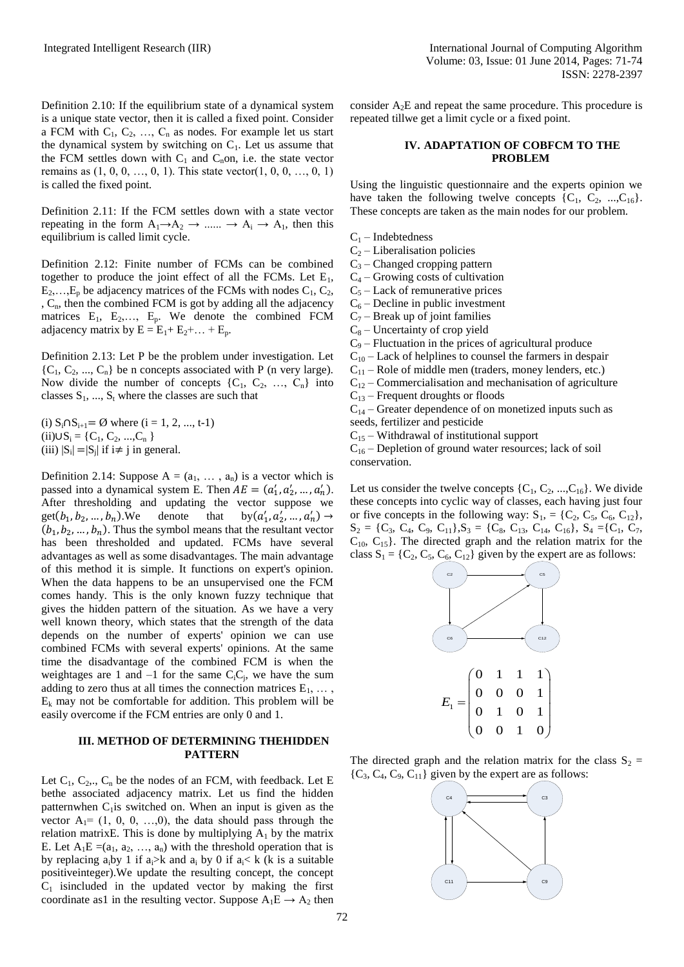Definition 2.10: If the equilibrium state of a dynamical system is a unique state vector, then it is called a fixed point. Consider a FCM with  $C_1, C_2, \ldots, C_n$  as nodes. For example let us start the dynamical system by switching on  $C_1$ . Let us assume that the FCM settles down with  $C_1$  and  $C_n$ on, i.e. the state vector remains as  $(1, 0, 0, ..., 0, 1)$ . This state vector $(1, 0, 0, ..., 0, 1)$ is called the fixed point.

Definition 2.11: If the FCM settles down with a state vector repeating in the form  $A_1 \rightarrow A_2 \rightarrow \dots \rightarrow A_i \rightarrow A_1$ , then this equilibrium is called limit cycle.

Definition 2.12: Finite number of FCMs can be combined together to produce the joint effect of all the FCMs. Let  $E_1$ ,  $E_2, \ldots, E_p$  be adjacency matrices of the FCMs with nodes  $C_1, C_2$ , , C<sub>n</sub>, then the combined FCM is got by adding all the adjacency matrices  $E_1$ ,  $E_2$ ,...,  $E_p$ . We denote the combined FCM adjacency matrix by  $E = E_1 + E_2 + ... + E_p$ .

Definition 2.13: Let P be the problem under investigation. Let  ${C_1, C_2, ..., C_n}$  be n concepts associated with P (n very large). Now divide the number of concepts  $\{C_1, C_2, ..., C_n\}$  into classes  $S_1$ , ...,  $S_t$  where the classes are such that

(i)  $S_i \cap S_{i+1} = \emptyset$  where (i = 1, 2, ..., t-1)  $(ii) \cup S_i = \{C_1, C_2, ..., C_n\}$ (iii)  $|S_i| = |S_j|$  if  $i \neq j$  in general.

Definition 2.14: Suppose  $A = (a_1, \ldots, a_n)$  is a vector which is passed into a dynamical system E. Then  $AE = (a'_1, a'_2, ..., a'_n)$ . After thresholding and updating the vector suppose we get( $b_1, b_2, ..., b_n$ ). We denote that by( $a'_1, a'_2, ..., a'_n$ )  $\rightarrow$  $(b_1, b_2, ..., b_n)$ . Thus the symbol means that the resultant vector has been thresholded and updated. FCMs have several advantages as well as some disadvantages. The main advantage of this method it is simple. It functions on expert's opinion. When the data happens to be an unsupervised one the FCM comes handy. This is the only known fuzzy technique that gives the hidden pattern of the situation. As we have a very well known theory, which states that the strength of the data depends on the number of experts' opinion we can use combined FCMs with several experts' opinions. At the same time the disadvantage of the combined FCM is when the weightages are 1 and  $-1$  for the same C<sub>i</sub>C<sub>j</sub>, we have the sum adding to zero thus at all times the connection matrices  $E_1, \ldots$ ,  $E_k$  may not be comfortable for addition. This problem will be easily overcome if the FCM entries are only 0 and 1.

#### **III. METHOD OF DETERMINING THEHIDDEN PATTERN**

Let  $C_1$ ,  $C_2$ ,.,  $C_n$  be the nodes of an FCM, with feedback. Let E bethe associated adjacency matrix. Let us find the hidden patternwhen  $C_1$  is switched on. When an input is given as the vector  $A_1 = (1, 0, 0, \ldots, 0)$ , the data should pass through the relation matrixE. This is done by multiplying  $A_1$  by the matrix E. Let  $A_1E = (a_1, a_2, ..., a_n)$  with the threshold operation that is by replacing a<sub>i</sub>by 1 if a<sub>i</sub>>k and a<sub>i</sub> by 0 if a<sub>i</sub>< k (k is a suitable positiveinteger).We update the resulting concept, the concept  $C_1$  is included in the updated vector by making the first coordinate as1 in the resulting vector. Suppose  $A_1E \rightarrow A_2$  then consider  $A_2E$  and repeat the same procedure. This procedure is repeated tillwe get a limit cycle or a fixed point.

## **IV. ADAPTATION OF COBFCM TO THE PROBLEM**

Using the linguistic questionnaire and the experts opinion we have taken the following twelve concepts  ${C_1, C_2, ..., C_{16}}$ . These concepts are taken as the main nodes for our problem.

 $C_1$  – Indebtedness

 $C_2$  – Liberalisation policies

 $C_3$  – Changed cropping pattern

 $C_4$  – Growing costs of cultivation

 $C_5$  – Lack of remunerative prices

- $C_6$  Decline in public investment
- $C_7$  Break up of joint families

 $C_8$  – Uncertainty of crop yield

 $C_9$  – Fluctuation in the prices of agricultural produce

 $C_{10}$  – Lack of helplines to counsel the farmers in despair

 $C_{11}$  – Role of middle men (traders, money lenders, etc.)

 $C_{12}$  – Commercialisation and mechanisation of agriculture

 $C_{13}$  – Frequent droughts or floods

 $C_{14}$  – Greater dependence of on monetized inputs such as seeds, fertilizer and pesticide

 $C_{15}$  – Withdrawal of institutional support

 $C_{16}$  – Depletion of ground water resources; lack of soil conservation.

Let us consider the twelve concepts  $\{C_1, C_2, ..., C_{16}\}$ . We divide these concepts into cyclic way of classes, each having just four or five concepts in the following way:  $S_1 = \{C_2, C_5, C_6, C_{12}\},\$  $S_2 = \{C_3, C_4, C_9, C_{11}\}, S_3 = \{C_8, C_{13}, C_{14}, C_{16}\}, S_4 = \{C_1, C_7,$  $C_{10}$ ,  $C_{15}$ . The directed graph and the relation matrix for the class  $S_1 = \{C_2, C_5, C_6, C_{12}\}\$ given by the expert are as follows:



The directed graph and the relation matrix for the class  $S_2 =$  ${C_3, C_4, C_9, C_{11}}$  given by the expert are as follows:

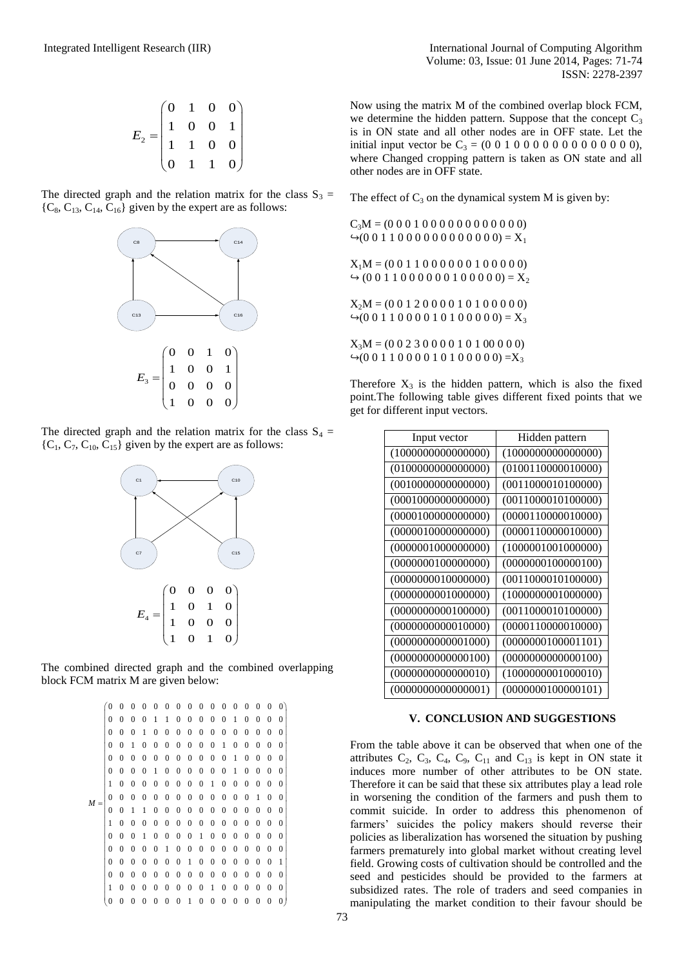$$
E_2 = \begin{pmatrix} 0 & 1 & 0 & 0 \\ 1 & 0 & 0 & 1 \\ 1 & 1 & 0 & 0 \\ 0 & 1 & 1 & 0 \end{pmatrix}
$$

The directed graph and the relation matrix for the class  $S_3$  =  ${C_8, C_{13}, C_{14}, C_{16}}$  given by the expert are as follows:



The directed graph and the relation matrix for the class  $S_4$  =  ${C_1, C_7, C_{10}, C_{15}}$  given by the expert are as follows:



The combined directed graph and the combined overlapping block FCM matrix M are given below:

|       | $\alpha$ matrix in are given below. |                |                  |                  |                  |                  |                  |                  |                  |                  |                  |                  |                  |                  |                  |              |
|-------|-------------------------------------|----------------|------------------|------------------|------------------|------------------|------------------|------------------|------------------|------------------|------------------|------------------|------------------|------------------|------------------|--------------|
|       | $\overline{0}$                      | 0              | $\Omega$         | $\Omega$         | 0                | 0                | $\mathbf{0}$     | 0                | $\theta$         | $\theta$         | $\mathbf{0}$     | 0                | 0                | 0                | $\theta$         | $\theta$     |
| $M =$ | $\boldsymbol{0}$                    | 0              | $\boldsymbol{0}$ | $\mathbf{0}$     | 1                | 1                | 0                | $\boldsymbol{0}$ | $\mathbf{0}$     | $\theta$         | $\boldsymbol{0}$ | 1                | $\mathbf{0}$     | $\theta$         | $\Omega$         | $\Omega$     |
|       | $\overline{0}$                      | 0              | $\theta$         | 1                | $\mathbf{0}$     | 0                | $\boldsymbol{0}$ | $\boldsymbol{0}$ | 0                | $\boldsymbol{0}$ | $\boldsymbol{0}$ | $\boldsymbol{0}$ | $\mathbf{0}$     | 0                | $\theta$         | $\Omega$     |
|       | $\boldsymbol{0}$                    | $\theta$       | 1                | $\theta$         | $\mathbf{0}$     | 0                | 0                | $\boldsymbol{0}$ | 0                | $\boldsymbol{0}$ | 1                | $\boldsymbol{0}$ | $\mathbf{0}$     | $\theta$         | $\theta$         | 0            |
|       | $\mathbf{0}$                        | $\theta$       | 0                | $\theta$         | $\theta$         | 0                | $\boldsymbol{0}$ | $\mathbf{0}$     | 0                | $\theta$         | $\theta$         | 1                | $\theta$         | 0                | 0                | 0            |
|       | $\mathbf{0}$                        | 0              | 0                | $\theta$         | 1                | 0                | 0                | 0                | $\theta$         | $\theta$         | $\boldsymbol{0}$ | 1                | $\mathbf{0}$     | 0                | $\theta$         | 0            |
|       | $\mathbf{1}$                        | 0              | $\boldsymbol{0}$ | $\boldsymbol{0}$ | 0                | 0                | $\boldsymbol{0}$ | 0                | $\mathbf{0}$     | 1                | 0                | 0                | $\mathbf{0}$     | 0                | $\theta$         | $\Omega$     |
|       | $\overline{0}$                      | $\overline{0}$ | 0                | $\boldsymbol{0}$ | $\boldsymbol{0}$ | $\boldsymbol{0}$ | $\boldsymbol{0}$ | $\boldsymbol{0}$ | $\boldsymbol{0}$ | $\boldsymbol{0}$ | $\boldsymbol{0}$ | $\boldsymbol{0}$ | $\boldsymbol{0}$ | 1                | $\boldsymbol{0}$ | $\Omega$     |
|       | $\theta$                            | $\mathbf{0}$   | 1                | 1                | 0                | $\boldsymbol{0}$ | $\boldsymbol{0}$ | $\boldsymbol{0}$ | $\mathbf{0}$     | $\boldsymbol{0}$ | 0                | $\mathbf{0}$     | $\mathbf{0}$     | $\theta$         | $\theta$         | $\Omega$     |
|       | 1                                   | $\mathbf{0}$   | $\boldsymbol{0}$ | $\theta$         | $\boldsymbol{0}$ | $\boldsymbol{0}$ | $\boldsymbol{0}$ | $\boldsymbol{0}$ | $\theta$         | $\theta$         | $\boldsymbol{0}$ | $\boldsymbol{0}$ | $\mathbf{0}$     | 0                | $\theta$         | $\mathbf{0}$ |
|       | $\mathbf{0}$                        | 0              | 0                | 1                | 0                | 0                | 0                | 0                | 1                | 0                | 0                | 0                | $\mathbf{0}$     | 0                | $\theta$         | $\mathbf{0}$ |
|       | $\boldsymbol{0}$                    | 0              | $\theta$         | 0                | $\mathbf{0}$     | 1                | 0                | $\boldsymbol{0}$ | 0                | $\boldsymbol{0}$ | $\mathbf{0}$     | $\boldsymbol{0}$ | $\mathbf{0}$     | 0                | $\theta$         | 0            |
|       | $\mathbf{0}$                        | $\theta$       | $\theta$         | $\theta$         | $\theta$         | 0                | 0                | 1                | 0                | $\mathbf{0}$     | $\theta$         | $\mathbf{0}$     | $\mathbf{0}$     | $\theta$         | $\theta$         | 1            |
|       | $\mathbf{0}$                        | $\theta$       | 0                | $\Omega$         | 0                | $\mathbf{0}$     | 0                | 0                | $\mathbf{0}$     | 0                | $\mathbf{0}$     | $\boldsymbol{0}$ | $\mathbf{0}$     | $\boldsymbol{0}$ | 0                | $\Omega$     |
|       | $\mathbf{1}$                        | $\theta$       | $\boldsymbol{0}$ | $\mathbf{0}$     | 0                | 0                | $\boldsymbol{0}$ | 0                | $\boldsymbol{0}$ | 1                | 0                | $\boldsymbol{0}$ | $\boldsymbol{0}$ | $\theta$         | $\theta$         | $\theta$     |
|       | 0                                   | $\theta$       | 0                | $\theta$         | 0                | $\boldsymbol{0}$ | 0                | $\mathbf{1}$     | $\boldsymbol{0}$ | $\boldsymbol{0}$ | 0                | 0                | $\boldsymbol{0}$ | 0                | 0                |              |

Now using the matrix M of the combined overlap block FCM, we determine the hidden pattern. Suppose that the concept  $C_3$ is in ON state and all other nodes are in OFF state. Let the initial input vector be  $C_3 = (0\ 0\ 1\ 0\ 0\ 0\ 0\ 0\ 0\ 0\ 0\ 0\ 0\ 0\ 0)$ , where Changed cropping pattern is taken as ON state and all other nodes are in OFF state.

The effect of  $C_3$  on the dynamical system M is given by:

 $C_3M = (0 0 0 1 0 0 0 0 0 0 0 0 0 0 0)$  $\rightarrow$  (0 0 1 1 0 0 0 0 0 0 0 0 0 0 0 0) = X<sub>1</sub>  $X_1M = (0 0 1 1 0 0 0 0 0 0 1 0 0 0 0)$  $\leftrightarrow$  (0 0 1 1 0 0 0 0 0 0 1 0 0 0 0 0) = X<sub>2</sub>  $X_2M = (0 0 1 2 0 0 0 0 1 0 1 0 0 0 0 0)$  $\rightarrow$  (0 0 1 1 0 0 0 0 1 0 1 0 0 0 0 0) = X<sub>3</sub>  $X_3M = (0 0 2 3 0 0 0 0 1 0 1 0 0 0 0)$  $\rightarrow$  (0 0 1 1 0 0 0 0 1 0 1 0 0 0 0 0) = X<sub>3</sub>

Therefore  $X_3$  is the hidden pattern, which is also the fixed point.The following table gives different fixed points that we get for different input vectors.

| Input vector       | Hidden pattern     |
|--------------------|--------------------|
| (1000000000000000) | (100000000000000)  |
| (010000000000000)  | (0100110000010000) |
| (001000000000000)  | (0011000010100000) |
| (0001000000000000) | (0011000010100000) |
| (0000100000000000) | (0000110000010000) |
| (0000010000000000) | (0000110000010000) |
| (0000001000000000) | (1000001001000000) |
| (0000000100000000) | (0000000100000100) |
| (0000000010000000) | (0011000010100000) |
| (0000000001000000) | (1000000001000000) |
| (0000000000100000) | (0011000010100000) |
| (0000000000010000) | (0000110000010000) |
| (0000000000001000) | (0000000100001101) |
| (0000000000000100) | (0000000000000100) |
| (0000000000000010) | (1000000001000010) |
| (0000000000000001) | (0000000100000101) |

#### **V. CONCLUSION AND SUGGESTIONS**

From the table above it can be observed that when one of the attributes  $C_2$ ,  $C_3$ ,  $C_4$ ,  $C_9$ ,  $C_{11}$  and  $C_{13}$  is kept in ON state it induces more number of other attributes to be ON state. Therefore it can be said that these six attributes play a lead role in worsening the condition of the farmers and push them to commit suicide. In order to address this phenomenon of farmers' suicides the policy makers should reverse their policies as liberalization has worsened the situation by pushing farmers prematurely into global market without creating level field. Growing costs of cultivation should be controlled and the seed and pesticides should be provided to the farmers at subsidized rates. The role of traders and seed companies in manipulating the market condition to their favour should be